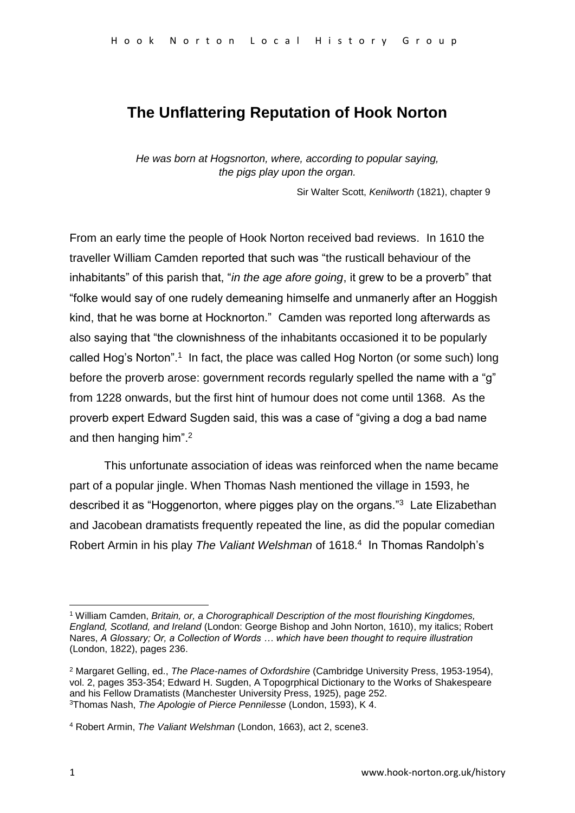## **The Unflattering Reputation of Hook Norton**

*He was born at Hogsnorton, where, according to popular saying, the pigs play upon the organ.*

Sir Walter Scott, *Kenilworth* (1821), chapter 9

From an early time the people of Hook Norton received bad reviews. In 1610 the traveller William Camden reported that such was "the rusticall behaviour of the inhabitants" of this parish that, "*in the age afore going*, it grew to be a proverb" that "folke would say of one rudely demeaning himselfe and unmanerly after an Hoggish kind, that he was borne at Hocknorton." Camden was reported long afterwards as also saying that "the clownishness of the inhabitants occasioned it to be popularly called Hog's Norton".<sup>1</sup> In fact, the place was called Hog Norton (or some such) long before the proverb arose: government records regularly spelled the name with a "g" from 1228 onwards, but the first hint of humour does not come until 1368. As the proverb expert Edward Sugden said, this was a case of "giving a dog a bad name and then hanging him".<sup>2</sup>

This unfortunate association of ideas was reinforced when the name became part of a popular jingle. When Thomas Nash mentioned the village in 1593, he described it as "Hoggenorton, where pigges play on the organs."<sup>3</sup> Late Elizabethan and Jacobean dramatists frequently repeated the line, as did the popular comedian Robert Armin in his play *The Valiant Welshman* of 1618. 4 In Thomas Randolph's

1

<sup>1</sup> William Camden, *Britain, or, a Chorographicall Description of the most flourishing Kingdomes, England, Scotland, and Ireland* (London: George Bishop and John Norton, 1610), my italics; Robert Nares, *A Glossary; Or, a Collection of Words … which have been thought to require illustration* (London, 1822), pages 236.

<sup>2</sup> Margaret Gelling, ed., *The Place-names of Oxfordshire* (Cambridge University Press, 1953-1954), vol. 2, pages 353-354; Edward H. Sugden, A Topogrphical Dictionary to the Works of Shakespeare and his Fellow Dramatists (Manchester University Press, 1925), page 252. <sup>3</sup>Thomas Nash, *The Apologie of Pierce Pennilesse* (London, 1593), K 4.

<sup>4</sup> Robert Armin, *The Valiant Welshman* (London, 1663), act 2, scene3.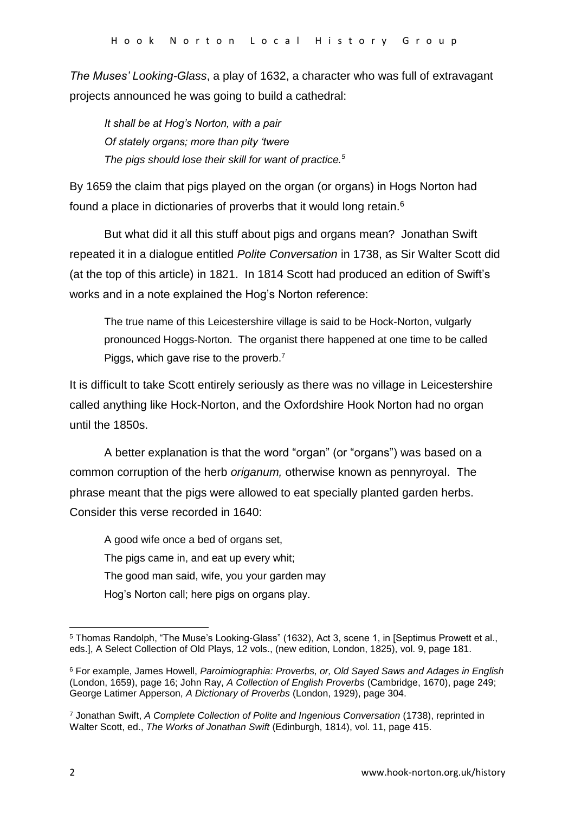*The Muses' Looking-Glass*, a play of 1632, a character who was full of extravagant projects announced he was going to build a cathedral:

*It shall be at Hog's Norton, with a pair Of stately organs; more than pity 'twere The pigs should lose their skill for want of practice.<sup>5</sup>*

By 1659 the claim that pigs played on the organ (or organs) in Hogs Norton had found a place in dictionaries of proverbs that it would long retain.<sup>6</sup>

But what did it all this stuff about pigs and organs mean? Jonathan Swift repeated it in a dialogue entitled *Polite Conversation* in 1738, as Sir Walter Scott did (at the top of this article) in 1821. In 1814 Scott had produced an edition of Swift's works and in a note explained the Hog's Norton reference:

The true name of this Leicestershire village is said to be Hock-Norton, vulgarly pronounced Hoggs-Norton. The organist there happened at one time to be called Piggs, which gave rise to the proverb.<sup>7</sup>

It is difficult to take Scott entirely seriously as there was no village in Leicestershire called anything like Hock-Norton, and the Oxfordshire Hook Norton had no organ until the 1850s.

A better explanation is that the word "organ" (or "organs") was based on a common corruption of the herb *origanum,* otherwise known as pennyroyal. The phrase meant that the pigs were allowed to eat specially planted garden herbs. Consider this verse recorded in 1640:

A good wife once a bed of organs set, The pigs came in, and eat up every whit; The good man said, wife, you your garden may Hog's Norton call; here pigs on organs play.

**.** 

<sup>5</sup> Thomas Randolph, "The Muse's Looking-Glass" (1632), Act 3, scene 1, in [Septimus Prowett et al., eds.], A Select Collection of Old Plays, 12 vols., (new edition, London, 1825), vol. 9, page 181.

<sup>6</sup> For example, James Howell, *Paroimiographia: Proverbs, or, Old Sayed Saws and Adages in English* (London, 1659), page 16; John Ray, *A Collection of English Proverbs* (Cambridge, 1670), page 249; George Latimer Apperson, *A Dictionary of Proverbs* (London, 1929), page 304.

<sup>7</sup> Jonathan Swift, *A Complete Collection of Polite and Ingenious Conversation* (1738), reprinted in Walter Scott, ed., *The Works of Jonathan Swift* (Edinburgh, 1814), vol. 11, page 415.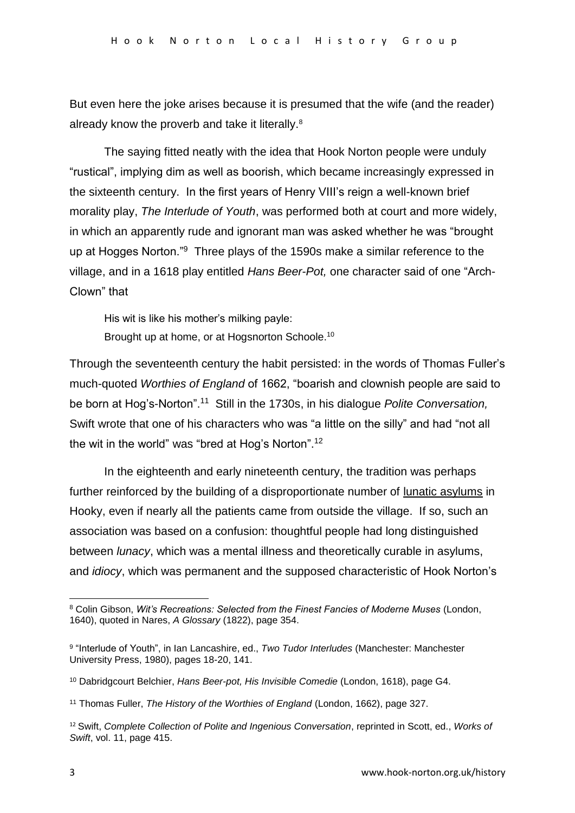But even here the joke arises because it is presumed that the wife (and the reader) already know the proverb and take it literally.<sup>8</sup>

The saying fitted neatly with the idea that Hook Norton people were unduly "rustical", implying dim as well as boorish, which became increasingly expressed in the sixteenth century. In the first years of Henry VIII's reign a well-known brief morality play, *The Interlude of Youth*, was performed both at court and more widely, in which an apparently rude and ignorant man was asked whether he was "brought up at Hogges Norton."<sup>9</sup> Three plays of the 1590s make a similar reference to the village, and in a 1618 play entitled *Hans Beer-Pot,* one character said of one "Arch-Clown" that

His wit is like his mother's milking payle: Brought up at home, or at Hogsnorton Schoole.<sup>10</sup>

Through the seventeenth century the habit persisted: in the words of Thomas Fuller's much-quoted *Worthies of England* of 1662, "boarish and clownish people are said to be born at Hog's-Norton".<sup>11</sup> Still in the 1730s, in his dialogue *Polite Conversation,* Swift wrote that one of his characters who was "a little on the silly" and had "not all the wit in the world" was "bred at Hog's Norton".<sup>12</sup>

In the eighteenth and early nineteenth century, the tradition was perhaps further reinforced by the building of a disproportionate number of lunatic asylums in Hooky, even if nearly all the patients came from outside the village. If so, such an association was based on a confusion: thoughtful people had long distinguished between *lunacy*, which was a mental illness and theoretically curable in asylums, and *idiocy*, which was permanent and the supposed characteristic of Hook Norton's

1

<sup>8</sup> Colin Gibson, *Wit's Recreations: Selected from the Finest Fancies of Moderne Muses* (London, 1640), quoted in Nares, *A Glossary* (1822), page 354.

<sup>9</sup> "Interlude of Youth", in Ian Lancashire, ed., *Two Tudor Interludes* (Manchester: Manchester University Press, 1980), pages 18-20, 141.

<sup>10</sup> Dabridgcourt Belchier, *Hans Beer-pot, His Invisible Comedie* (London, 1618), page G4.

<sup>11</sup> Thomas Fuller, *The History of the Worthies of England* (London, 1662), page 327.

<sup>12</sup> Swift, *Complete Collection of Polite and Ingenious Conversation*, reprinted in Scott, ed., *Works of Swift*, vol. 11, page 415.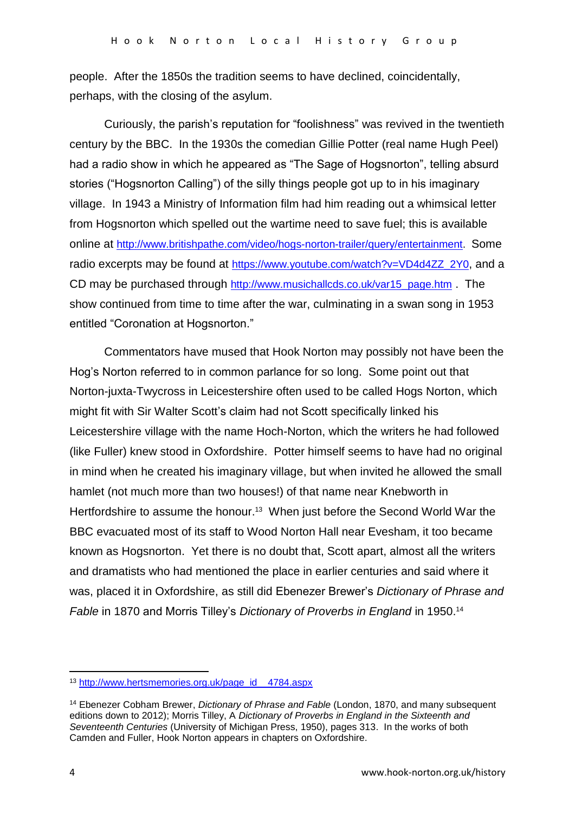people. After the 1850s the tradition seems to have declined, coincidentally, perhaps, with the closing of the asylum.

Curiously, the parish's reputation for "foolishness" was revived in the twentieth century by the BBC. In the 1930s the comedian Gillie Potter (real name Hugh Peel) had a radio show in which he appeared as "The Sage of Hogsnorton", telling absurd stories ("Hogsnorton Calling") of the silly things people got up to in his imaginary village. In 1943 a Ministry of Information film had him reading out a whimsical letter from Hogsnorton which spelled out the wartime need to save fuel; this is available online at [http://www.britishpathe.com/video/hogs-norton-trailer/query/entertainment.](http://www.britishpathe.com/video/hogs-norton-trailer/query/entertainment) Some radio excerpts may be found at [https://www.youtube.com/watch?v=VD4d4ZZ\\_2Y0](https://www.youtube.com/watch?v=VD4d4ZZ_2Y0), and a CD may be purchased through [http://www.musichallcds.co.uk/var15\\_page.htm](http://www.musichallcds.co.uk/var15_page.htm) . The show continued from time to time after the war, culminating in a swan song in 1953 entitled "Coronation at Hogsnorton."

Commentators have mused that Hook Norton may possibly not have been the Hog's Norton referred to in common parlance for so long. Some point out that Norton-juxta-Twycross in Leicestershire often used to be called Hogs Norton, which might fit with Sir Walter Scott's claim had not Scott specifically linked his Leicestershire village with the name Hoch-Norton, which the writers he had followed (like Fuller) knew stood in Oxfordshire. Potter himself seems to have had no original in mind when he created his imaginary village, but when invited he allowed the small hamlet (not much more than two houses!) of that name near Knebworth in Hertfordshire to assume the honour.<sup>13</sup> When just before the Second World War the BBC evacuated most of its staff to Wood Norton Hall near Evesham, it too became known as Hogsnorton. Yet there is no doubt that, Scott apart, almost all the writers and dramatists who had mentioned the place in earlier centuries and said where it was, placed it in Oxfordshire, as still did Ebenezer Brewer's *Dictionary of Phrase and Fable* in 1870 and Morris Tilley's *Dictionary of Proverbs in England* in 1950. 14

1

<sup>13</sup> [http://www.hertsmemories.org.uk/page\\_id\\_\\_4784.aspx](http://www.hertsmemories.org.uk/page_id__4784.aspx)

<sup>14</sup> Ebenezer Cobham Brewer, *Dictionary of Phrase and Fable* (London, 1870, and many subsequent editions down to 2012); Morris Tilley, A *Dictionary of Proverbs in England in the Sixteenth and Seventeenth Centuries* (University of Michigan Press, 1950), pages 313. In the works of both Camden and Fuller, Hook Norton appears in chapters on Oxfordshire.